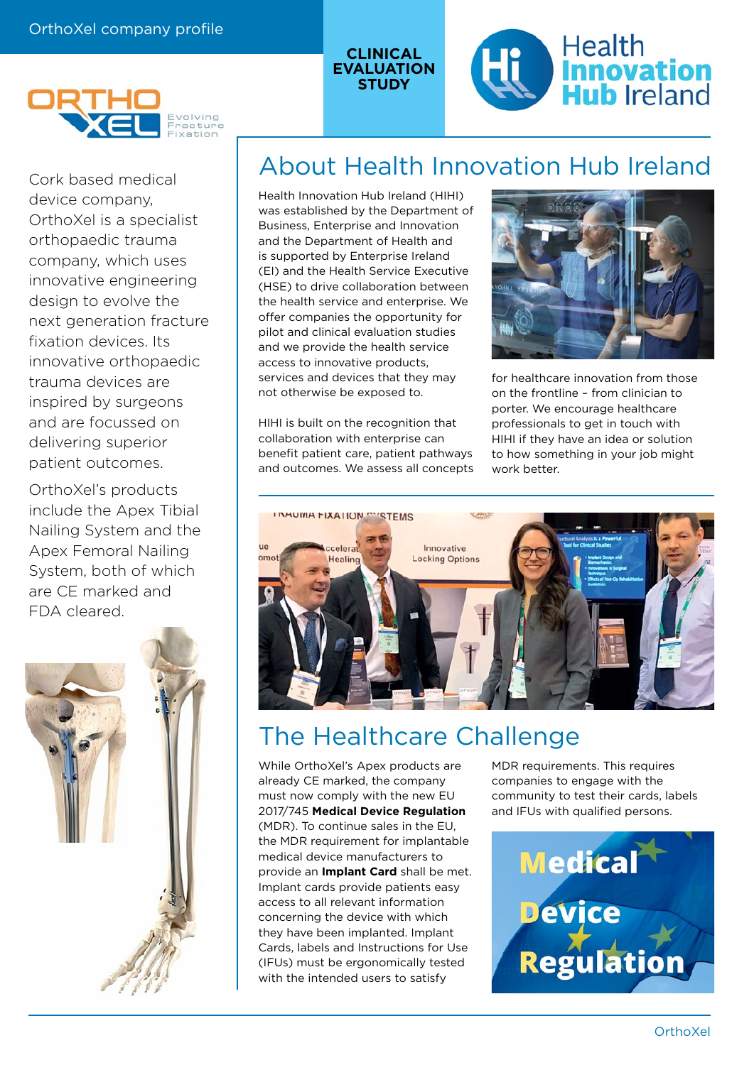



OrthoXel's products include the Apex Tibial Nailing System and the Apex Femoral Nailing System, both of which are CE marked and FDA cleared.



# Cork based medical **About Health Innovation Hub Ireland**

Health Innovation Hub Ireland (HIHI) was established by the Department of Business, Enterprise and Innovation and the Department of Health and is supported by Enterprise Ireland (EI) and the Health Service Executive (HSE) to drive collaboration between the health service and enterprise. We offer companies the opportunity for pilot and clinical evaluation studies and we provide the health service access to innovative products, services and devices that they may not otherwise be exposed to.

**CLINICAL EVALUATION STUDY**

HIHI is built on the recognition that collaboration with enterprise can benefit patient care, patient pathways and outcomes. We assess all concepts



**Health** 

**Innovation**<br>**Hub** Ireland

for healthcare innovation from those on the frontline – from clinician to porter. We encourage healthcare professionals to get in touch with HIHI if they have an idea or solution to how something in your job might work better.



### The Healthcare Challenge

While OrthoXel's Apex products are already CE marked, the company must now comply with the new EU 2017/745 **Medical Device Regulation** (MDR). To continue sales in the EU, the MDR requirement for implantable medical device manufacturers to provide an **Implant Card** shall be met. Implant cards provide patients easy access to all relevant information concerning the device with which they have been implanted. Implant Cards, labels and Instructions for Use (IFUs) must be ergonomically tested with the intended users to satisfy

MDR requirements. This requires companies to engage with the community to test their cards, labels and IFUs with qualified persons.